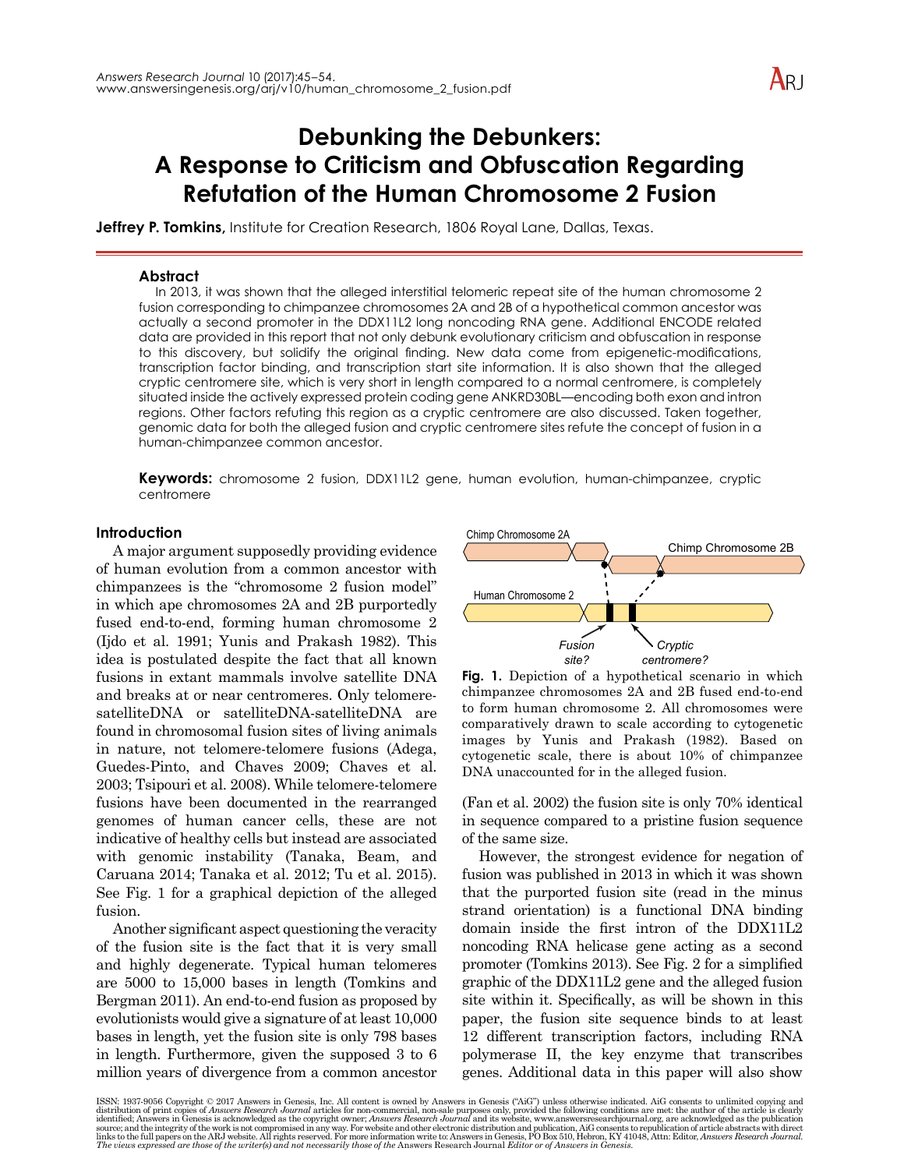# **Debunking the Debunkers: A Response to Criticism and Obfuscation Regarding Refutation of the Human Chromosome 2 Fusion**

**Jeffrey P. Tomkins,** Institute for Creation Research, 1806 Royal Lane, Dallas, Texas.

# **Abstract**

In 2013, it was shown that the alleged interstitial telomeric repeat site of the human chromosome 2 fusion corresponding to chimpanzee chromosomes 2A and 2B of a hypothetical common ancestor was actually a second promoter in the DDX11L2 long noncoding RNA gene. Additional ENCODE related data are provided in this report that not only debunk evolutionary criticism and obfuscation in response to this discovery, but solidify the original finding. New data come from epigenetic-modifications, transcription factor binding, and transcription start site information. It is also shown that the alleged cryptic centromere site, which is very short in length compared to a normal centromere, is completely situated inside the actively expressed protein coding gene ANKRD30BL—encoding both exon and intron regions. Other factors refuting this region as a cryptic centromere are also discussed. Taken together, genomic data for both the alleged fusion and cryptic centromere sites refute the concept of fusion in a human-chimpanzee common ancestor.

**Keywords:** chromosome 2 fusion, DDX11L2 gene, human evolution, human-chimpanzee, cryptic centromere

### **Introduction**

A major argument supposedly providing evidence of human evolution from a common ancestor with chimpanzees is the "chromosome 2 fusion model" in which ape chromosomes 2A and 2B purportedly fused end-to-end, forming human chromosome 2 (Ijdo et al. 1991; Yunis and Prakash 1982). This idea is postulated despite the fact that all known fusions in extant mammals involve satellite DNA and breaks at or near centromeres. Only telomeresatelliteDNA or satelliteDNA-satelliteDNA are found in chromosomal fusion sites of living animals in nature, not telomere-telomere fusions (Adega, Guedes-Pinto, and Chaves 2009; Chaves et al. 2003; Tsipouri et al. 2008). While telomere-telomere fusions have been documented in the rearranged genomes of human cancer cells, these are not indicative of healthy cells but instead are associated with genomic instability (Tanaka, Beam, and Caruana 2014; Tanaka et al. 2012; Tu et al. 2015). See Fig. 1 for a graphical depiction of the alleged fusion.

Another significant aspect questioning the veracity of the fusion site is the fact that it is very small and highly degenerate. Typical human telomeres are 5000 to 15,000 bases in length (Tomkins and Bergman 2011). An end-to-end fusion as proposed by evolutionists would give a signature of at least 10,000 bases in length, yet the fusion site is only 798 bases in length. Furthermore, given the supposed 3 to 6 million years of divergence from a common ancestor



**Fig. 1.** Depiction of a hypothetical scenario in which chimpanzee chromosomes 2A and 2B fused end-to-end to form human chromosome 2. All chromosomes were comparatively drawn to scale according to cytogenetic images by Yunis and Prakash (1982). Based on cytogenetic scale, there is about 10% of chimpanzee DNA unaccounted for in the alleged fusion.

(Fan et al. 2002) the fusion site is only 70% identical in sequence compared to a pristine fusion sequence of the same size.

However, the strongest evidence for negation of fusion was published in 2013 in which it was shown that the purported fusion site (read in the minus strand orientation) is a functional DNA binding domain inside the first intron of the DDX11L2 noncoding RNA helicase gene acting as a second promoter (Tomkins 2013). See Fig. 2 for a simplified graphic of the DDX11L2 gene and the alleged fusion site within it. Specifically, as will be shown in this paper, the fusion site sequence binds to at least 12 different transcription factors, including RNA polymerase II, the key enzyme that transcribes genes. Additional data in this paper will also show

ISSN: 1937-9056 Copyright © 2017 Answers in Genesis, Inc. All content is owned by Answers in Genesis ("AiG") unless otherwise indicated. AiG consents to unlimited copying and distribution of print copies of *Answers* in G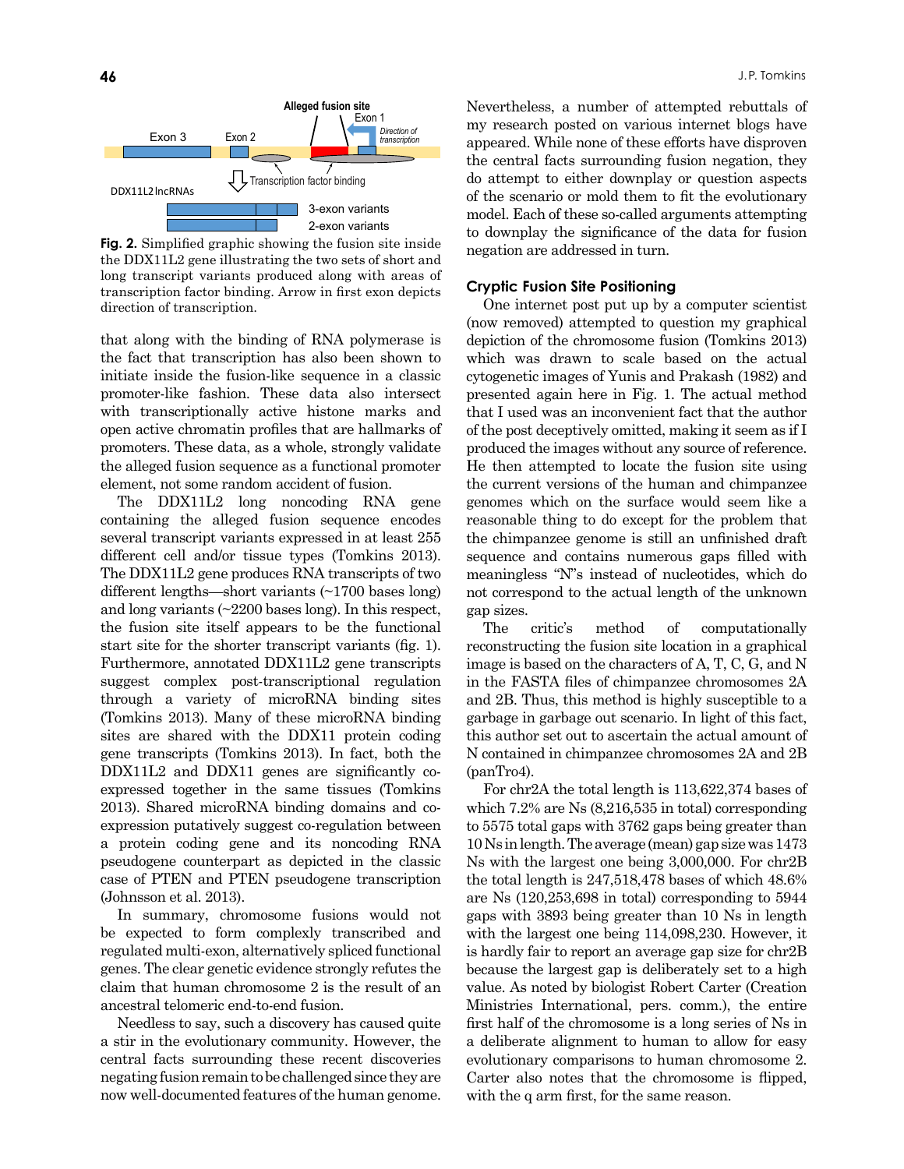

**Fig. 2.** Simplified graphic showing the fusion site inside the DDX11L2 gene illustrating the two sets of short and long transcript variants produced along with areas of transcription factor binding. Arrow in first exon depicts direction of transcription.

that along with the binding of RNA polymerase is the fact that transcription has also been shown to initiate inside the fusion-like sequence in a classic promoter-like fashion. These data also intersect with transcriptionally active histone marks and open active chromatin profiles that are hallmarks of promoters. These data, as a whole, strongly validate the alleged fusion sequence as a functional promoter element, not some random accident of fusion.

The DDX11L2 long noncoding RNA gene containing the alleged fusion sequence encodes several transcript variants expressed in at least 255 different cell and/or tissue types (Tomkins 2013). The DDX11L2 gene produces RNA transcripts of two different lengths—short variants (~1700 bases long) and long variants (~2200 bases long). In this respect, the fusion site itself appears to be the functional start site for the shorter transcript variants (fig. 1). Furthermore, annotated DDX11L2 gene transcripts suggest complex post-transcriptional regulation through a variety of microRNA binding sites (Tomkins 2013). Many of these microRNA binding sites are shared with the DDX11 protein coding gene transcripts (Tomkins 2013). In fact, both the DDX11L2 and DDX11 genes are significantly coexpressed together in the same tissues (Tomkins 2013). Shared microRNA binding domains and coexpression putatively suggest co-regulation between a protein coding gene and its noncoding RNA pseudogene counterpart as depicted in the classic case of PTEN and PTEN pseudogene transcription (Johnsson et al. 2013).

In summary, chromosome fusions would not be expected to form complexly transcribed and regulated multi-exon, alternatively spliced functional genes. The clear genetic evidence strongly refutes the claim that human chromosome 2 is the result of an ancestral telomeric end-to-end fusion.

Needless to say, such a discovery has caused quite a stir in the evolutionary community. However, the central facts surrounding these recent discoveries negating fusion remain to be challenged since they are now well-documented features of the human genome.

Nevertheless, a number of attempted rebuttals of my research posted on various internet blogs have appeared. While none of these efforts have disproven the central facts surrounding fusion negation, they do attempt to either downplay or question aspects of the scenario or mold them to fit the evolutionary model. Each of these so-called arguments attempting to downplay the significance of the data for fusion negation are addressed in turn.

#### **Cryptic Fusion Site Positioning**

One internet post put up by a computer scientist (now removed) attempted to question my graphical depiction of the chromosome fusion (Tomkins 2013) which was drawn to scale based on the actual cytogenetic images of Yunis and Prakash (1982) and presented again here in Fig. 1. The actual method that I used was an inconvenient fact that the author of the post deceptively omitted, making it seem as if I produced the images without any source of reference. He then attempted to locate the fusion site using the current versions of the human and chimpanzee genomes which on the surface would seem like a reasonable thing to do except for the problem that the chimpanzee genome is still an unfinished draft sequence and contains numerous gaps filled with meaningless "N"s instead of nucleotides, which do not correspond to the actual length of the unknown gap sizes.

The critic's method of computationally reconstructing the fusion site location in a graphical image is based on the characters of A, T, C, G, and N in the FASTA files of chimpanzee chromosomes 2A and 2B. Thus, this method is highly susceptible to a garbage in garbage out scenario. In light of this fact, this author set out to ascertain the actual amount of N contained in chimpanzee chromosomes 2A and 2B (panTro4).

For chr2A the total length is 113,622,374 bases of which 7.2% are Ns (8,216,535 in total) corresponding to 5575 total gaps with 3762 gaps being greater than 10 Ns in length. The average (mean) gap size was 1473 Ns with the largest one being 3,000,000. For chr2B the total length is 247,518,478 bases of which 48.6% are Ns (120,253,698 in total) corresponding to 5944 gaps with 3893 being greater than 10 Ns in length with the largest one being 114,098,230. However, it is hardly fair to report an average gap size for chr2B because the largest gap is deliberately set to a high value. As noted by biologist Robert Carter (Creation Ministries International, pers. comm.), the entire first half of the chromosome is a long series of Ns in a deliberate alignment to human to allow for easy evolutionary comparisons to human chromosome 2. Carter also notes that the chromosome is flipped, with the q arm first, for the same reason.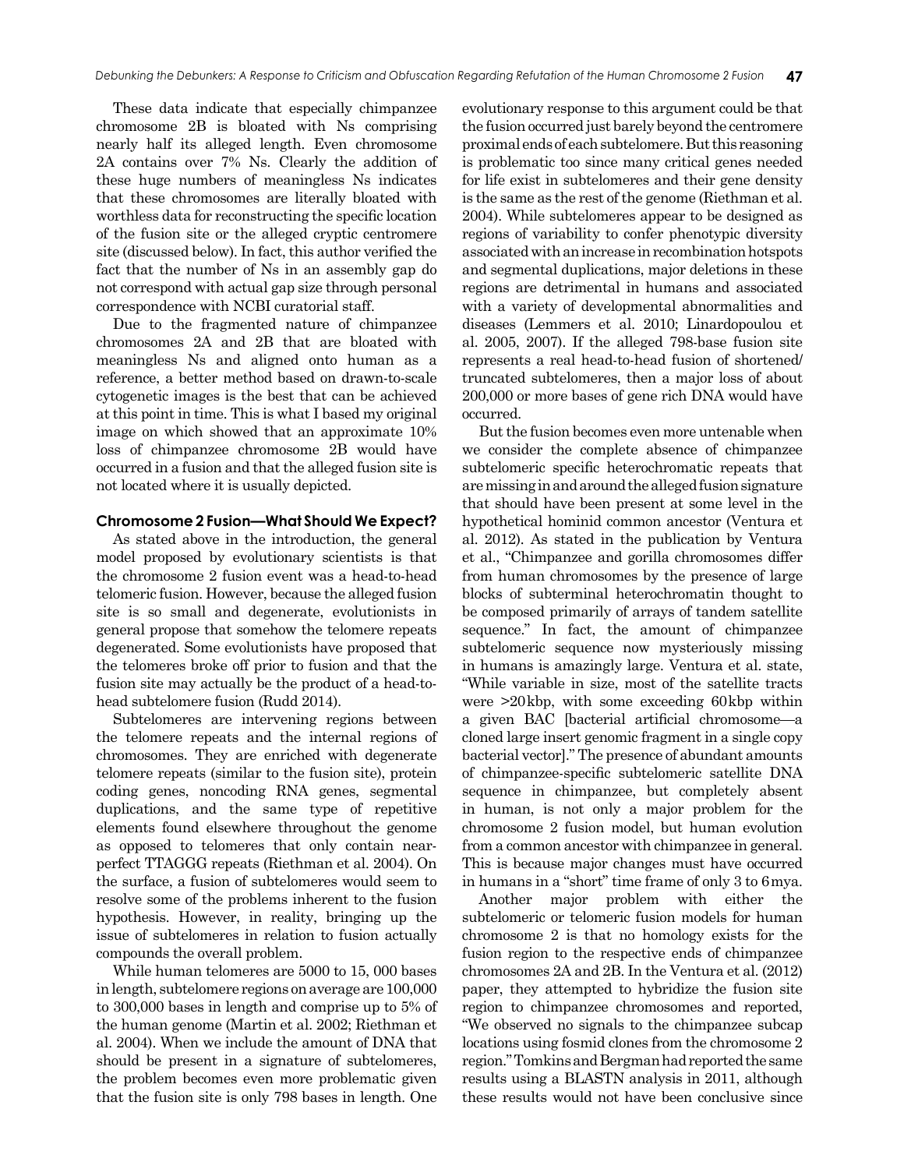These data indicate that especially chimpanzee chromosome 2B is bloated with Ns comprising nearly half its alleged length. Even chromosome 2A contains over 7% Ns. Clearly the addition of these huge numbers of meaningless Ns indicates that these chromosomes are literally bloated with worthless data for reconstructing the specific location of the fusion site or the alleged cryptic centromere site (discussed below). In fact, this author verified the fact that the number of Ns in an assembly gap do not correspond with actual gap size through personal correspondence with NCBI curatorial staff.

Due to the fragmented nature of chimpanzee chromosomes 2A and 2B that are bloated with meaningless Ns and aligned onto human as a reference, a better method based on drawn-to-scale cytogenetic images is the best that can be achieved at this point in time. This is what I based my original image on which showed that an approximate 10% loss of chimpanzee chromosome 2B would have occurred in a fusion and that the alleged fusion site is not located where it is usually depicted.

#### **Chromosome 2 Fusion—What Should We Expect?**

As stated above in the introduction, the general model proposed by evolutionary scientists is that the chromosome 2 fusion event was a head-to-head telomeric fusion. However, because the alleged fusion site is so small and degenerate, evolutionists in general propose that somehow the telomere repeats degenerated. Some evolutionists have proposed that the telomeres broke off prior to fusion and that the fusion site may actually be the product of a head-tohead subtelomere fusion (Rudd 2014).

Subtelomeres are intervening regions between the telomere repeats and the internal regions of chromosomes. They are enriched with degenerate telomere repeats (similar to the fusion site), protein coding genes, noncoding RNA genes, segmental duplications, and the same type of repetitive elements found elsewhere throughout the genome as opposed to telomeres that only contain nearperfect TTAGGG repeats (Riethman et al. 2004). On the surface, a fusion of subtelomeres would seem to resolve some of the problems inherent to the fusion hypothesis. However, in reality, bringing up the issue of subtelomeres in relation to fusion actually compounds the overall problem.

While human telomeres are 5000 to 15, 000 bases in length, subtelomere regions on average are 100,000 to 300,000 bases in length and comprise up to 5% of the human genome (Martin et al. 2002; Riethman et al. 2004). When we include the amount of DNA that should be present in a signature of subtelomeres, the problem becomes even more problematic given that the fusion site is only 798 bases in length. One evolutionary response to this argument could be that the fusion occurred just barely beyond the centromere proximal ends of each subtelomere. But this reasoning is problematic too since many critical genes needed for life exist in subtelomeres and their gene density is the same as the rest of the genome (Riethman et al. 2004). While subtelomeres appear to be designed as regions of variability to confer phenotypic diversity associated with an increase in recombination hotspots and segmental duplications, major deletions in these regions are detrimental in humans and associated with a variety of developmental abnormalities and diseases (Lemmers et al. 2010; Linardopoulou et al. 2005, 2007). If the alleged 798-base fusion site represents a real head-to-head fusion of shortened/ truncated subtelomeres, then a major loss of about 200,000 or more bases of gene rich DNA would have occurred.

But the fusion becomes even more untenable when we consider the complete absence of chimpanzee subtelomeric specific heterochromatic repeats that are missing in and around the alleged fusion signature that should have been present at some level in the hypothetical hominid common ancestor (Ventura et al. 2012). As stated in the publication by Ventura et al., "Chimpanzee and gorilla chromosomes differ from human chromosomes by the presence of large blocks of subterminal heterochromatin thought to be composed primarily of arrays of tandem satellite sequence." In fact, the amount of chimpanzee subtelomeric sequence now mysteriously missing in humans is amazingly large. Ventura et al. state, "While variable in size, most of the satellite tracts were >20kbp, with some exceeding 60kbp within a given BAC [bacterial artificial chromosome—a cloned large insert genomic fragment in a single copy bacterial vector]." The presence of abundant amounts of chimpanzee-specific subtelomeric satellite DNA sequence in chimpanzee, but completely absent in human, is not only a major problem for the chromosome 2 fusion model, but human evolution from a common ancestor with chimpanzee in general. This is because major changes must have occurred in humans in a "short" time frame of only 3 to 6mya.

Another major problem with either the subtelomeric or telomeric fusion models for human chromosome 2 is that no homology exists for the fusion region to the respective ends of chimpanzee chromosomes 2A and 2B. In the Ventura et al. (2012) paper, they attempted to hybridize the fusion site region to chimpanzee chromosomes and reported, "We observed no signals to the chimpanzee subcap locations using fosmid clones from the chromosome 2 region." Tomkins and Bergman had reported the same results using a BLASTN analysis in 2011, although these results would not have been conclusive since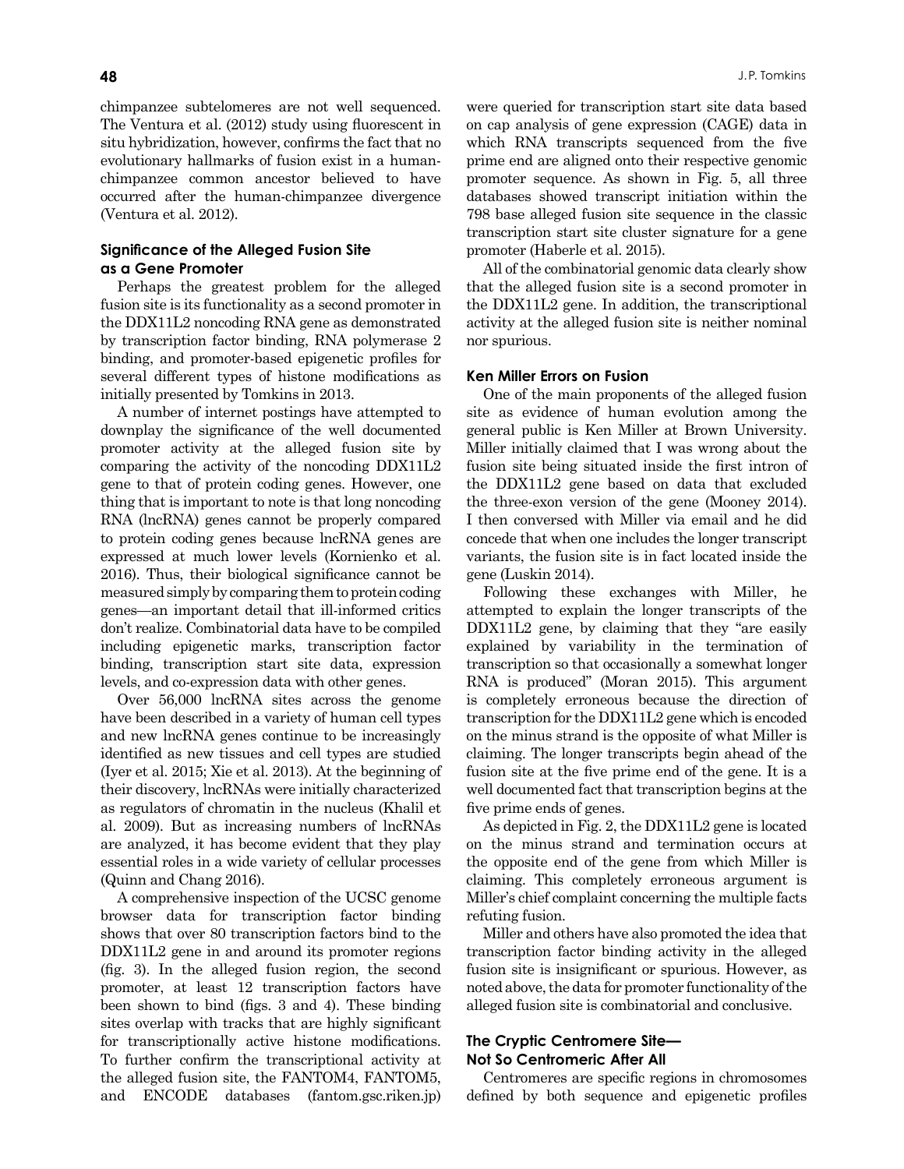chimpanzee subtelomeres are not well sequenced. The Ventura et al. (2012) study using fluorescent in situ hybridization, however, confirms the fact that no evolutionary hallmarks of fusion exist in a humanchimpanzee common ancestor believed to have occurred after the human-chimpanzee divergence (Ventura et al. 2012).

# **Significance of the Alleged Fusion Site as a Gene Promoter**

Perhaps the greatest problem for the alleged fusion site is its functionality as a second promoter in the DDX11L2 noncoding RNA gene as demonstrated by transcription factor binding, RNA polymerase 2 binding, and promoter-based epigenetic profiles for several different types of histone modifications as initially presented by Tomkins in 2013.

A number of internet postings have attempted to downplay the significance of the well documented promoter activity at the alleged fusion site by comparing the activity of the noncoding DDX11L2 gene to that of protein coding genes. However, one thing that is important to note is that long noncoding RNA (lncRNA) genes cannot be properly compared to protein coding genes because lncRNA genes are expressed at much lower levels (Kornienko et al. 2016). Thus, their biological significance cannot be measured simply by comparing them to protein coding genes—an important detail that ill-informed critics don't realize. Combinatorial data have to be compiled including epigenetic marks, transcription factor binding, transcription start site data, expression levels, and co-expression data with other genes.

Over 56,000 lncRNA sites across the genome have been described in a variety of human cell types and new lncRNA genes continue to be increasingly identified as new tissues and cell types are studied (Iyer et al. 2015; Xie et al. 2013). At the beginning of their discovery, lncRNAs were initially characterized as regulators of chromatin in the nucleus (Khalil et al. 2009). But as increasing numbers of lncRNAs are analyzed, it has become evident that they play essential roles in a wide variety of cellular processes (Quinn and Chang 2016).

A comprehensive inspection of the UCSC genome browser data for transcription factor binding shows that over 80 transcription factors bind to the DDX11L2 gene in and around its promoter regions (fig. 3). In the alleged fusion region, the second promoter, at least 12 transcription factors have been shown to bind (figs. 3 and 4). These binding sites overlap with tracks that are highly significant for transcriptionally active histone modifications. To further confirm the transcriptional activity at the alleged fusion site, the FANTOM4, FANTOM5, and ENCODE databases (fantom.gsc.riken.jp)

were queried for transcription start site data based on cap analysis of gene expression (CAGE) data in which RNA transcripts sequenced from the five prime end are aligned onto their respective genomic promoter sequence. As shown in Fig. 5, all three databases showed transcript initiation within the 798 base alleged fusion site sequence in the classic transcription start site cluster signature for a gene promoter (Haberle et al. 2015).

All of the combinatorial genomic data clearly show that the alleged fusion site is a second promoter in the DDX11L2 gene. In addition, the transcriptional activity at the alleged fusion site is neither nominal nor spurious.

## **Ken Miller Errors on Fusion**

One of the main proponents of the alleged fusion site as evidence of human evolution among the general public is Ken Miller at Brown University. Miller initially claimed that I was wrong about the fusion site being situated inside the first intron of the DDX11L2 gene based on data that excluded the three-exon version of the gene (Mooney 2014). I then conversed with Miller via email and he did concede that when one includes the longer transcript variants, the fusion site is in fact located inside the gene (Luskin 2014).

Following these exchanges with Miller, he attempted to explain the longer transcripts of the DDX11L2 gene, by claiming that they "are easily explained by variability in the termination of transcription so that occasionally a somewhat longer RNA is produced" (Moran 2015). This argument is completely erroneous because the direction of transcription for the DDX11L2 gene which is encoded on the minus strand is the opposite of what Miller is claiming. The longer transcripts begin ahead of the fusion site at the five prime end of the gene. It is a well documented fact that transcription begins at the five prime ends of genes.

As depicted in Fig. 2, the DDX11L2 gene is located on the minus strand and termination occurs at the opposite end of the gene from which Miller is claiming. This completely erroneous argument is Miller's chief complaint concerning the multiple facts refuting fusion.

Miller and others have also promoted the idea that transcription factor binding activity in the alleged fusion site is insignificant or spurious. However, as noted above, the data for promoter functionality of the alleged fusion site is combinatorial and conclusive.

## **The Cryptic Centromere Site— Not So Centromeric After All**

Centromeres are specific regions in chromosomes defined by both sequence and epigenetic profiles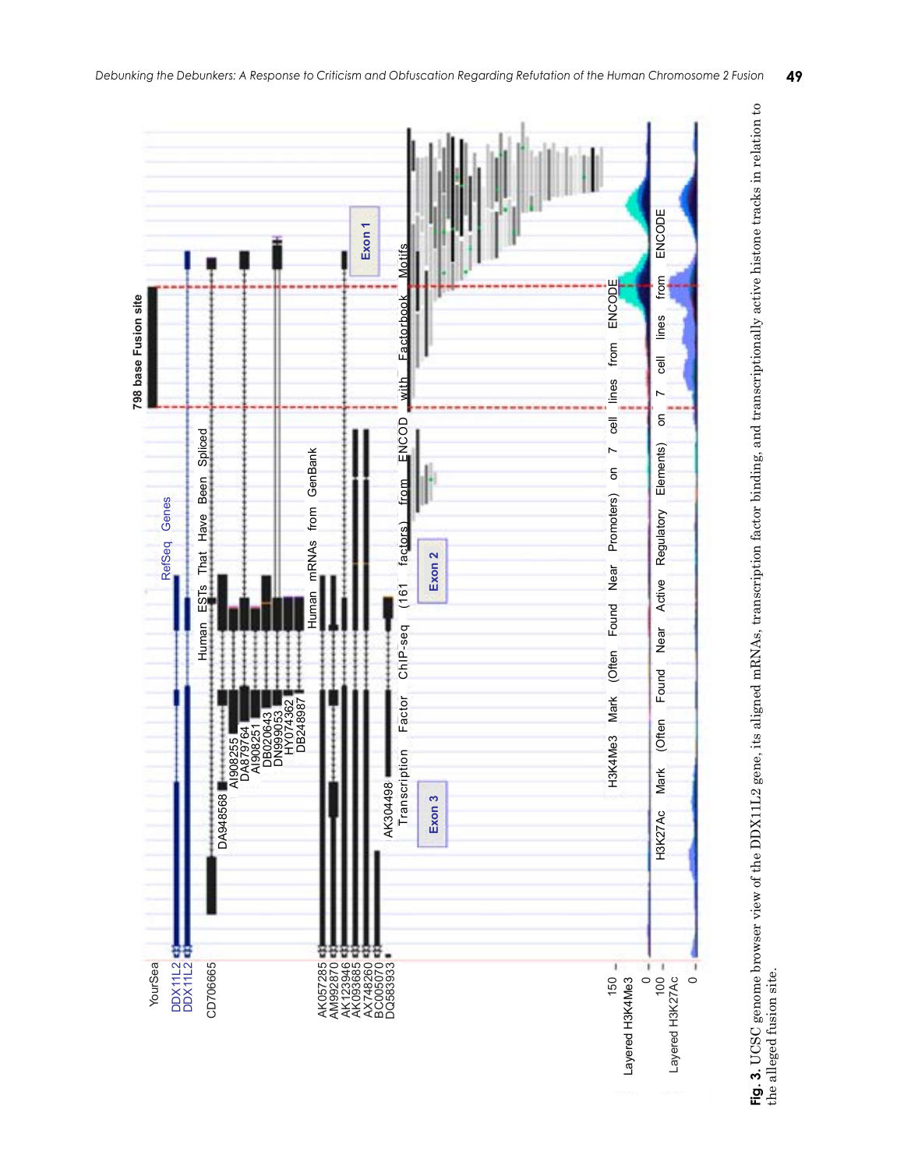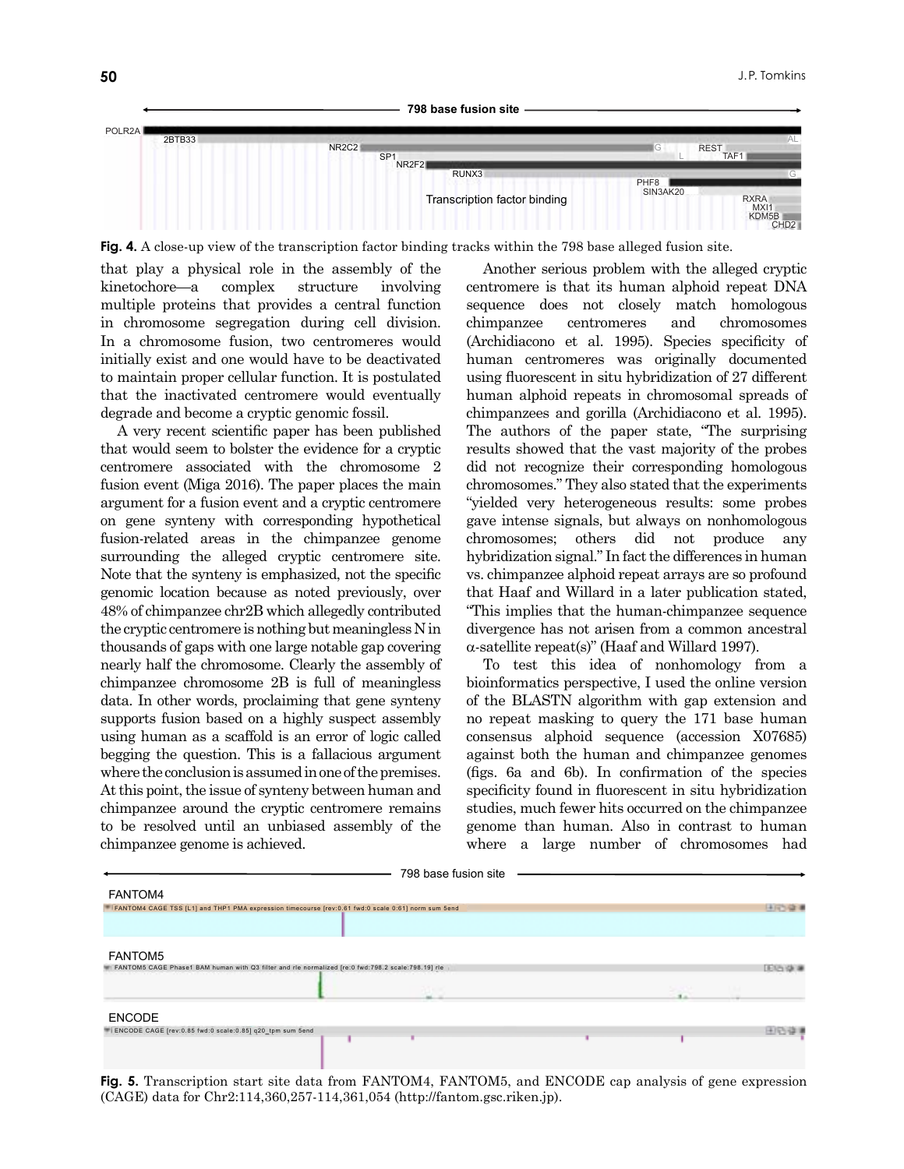



**Fig. 4.** A close-up view of the transcription factor binding tracks within the 798 base alleged fusion site.

that play a physical role in the assembly of the kinetochore—a complex structure involving multiple proteins that provides a central function in chromosome segregation during cell division. In a chromosome fusion, two centromeres would initially exist and one would have to be deactivated to maintain proper cellular function. It is postulated that the inactivated centromere would eventually degrade and become a cryptic genomic fossil.

A very recent scientific paper has been published that would seem to bolster the evidence for a cryptic centromere associated with the chromosome 2 fusion event (Miga 2016). The paper places the main argument for a fusion event and a cryptic centromere on gene synteny with corresponding hypothetical fusion-related areas in the chimpanzee genome surrounding the alleged cryptic centromere site. Note that the synteny is emphasized, not the specific genomic location because as noted previously, over 48% of chimpanzee chr2B which allegedly contributed the cryptic centromere is nothing but meaningless N in thousands of gaps with one large notable gap covering nearly half the chromosome. Clearly the assembly of chimpanzee chromosome 2B is full of meaningless data. In other words, proclaiming that gene synteny supports fusion based on a highly suspect assembly using human as a scaffold is an error of logic called begging the question. This is a fallacious argument where the conclusion is assumed in one of the premises. At this point, the issue of synteny between human and chimpanzee around the cryptic centromere remains to be resolved until an unbiased assembly of the chimpanzee genome is achieved.

Another serious problem with the alleged cryptic centromere is that its human alphoid repeat DNA sequence does not closely match homologous chimpanzee centromeres and chromosomes (Archidiacono et al. 1995). Species specificity of human centromeres was originally documented using fluorescent in situ hybridization of 27 different human alphoid repeats in chromosomal spreads of chimpanzees and gorilla (Archidiacono et al. 1995). The authors of the paper state, "The surprising results showed that the vast majority of the probes did not recognize their corresponding homologous chromosomes." They also stated that the experiments "yielded very heterogeneous results: some probes gave intense signals, but always on nonhomologous chromosomes; others did not produce any hybridization signal." In fact the differences in human vs. chimpanzee alphoid repeat arrays are so profound that Haaf and Willard in a later publication stated, "This implies that the human-chimpanzee sequence divergence has not arisen from a common ancestral  $\alpha$ -satellite repeat(s)" (Haaf and Willard 1997).

To test this idea of nonhomology from a bioinformatics perspective, I used the online version of the BLASTN algorithm with gap extension and no repeat masking to query the 171 base human consensus alphoid sequence (accession X07685) against both the human and chimpanzee genomes (figs. 6a and 6b). In confirmation of the species specificity found in fluorescent in situ hybridization studies, much fewer hits occurred on the chimpanzee genome than human. Also in contrast to human where a large number of chromosomes had



**Fig. 5.** Transcription start site data from FANTOM4, FANTOM5, and ENCODE cap analysis of gene expression (CAGE) data for Chr2:114,360,257-114,361,054 (http://fantom.gsc.riken.jp).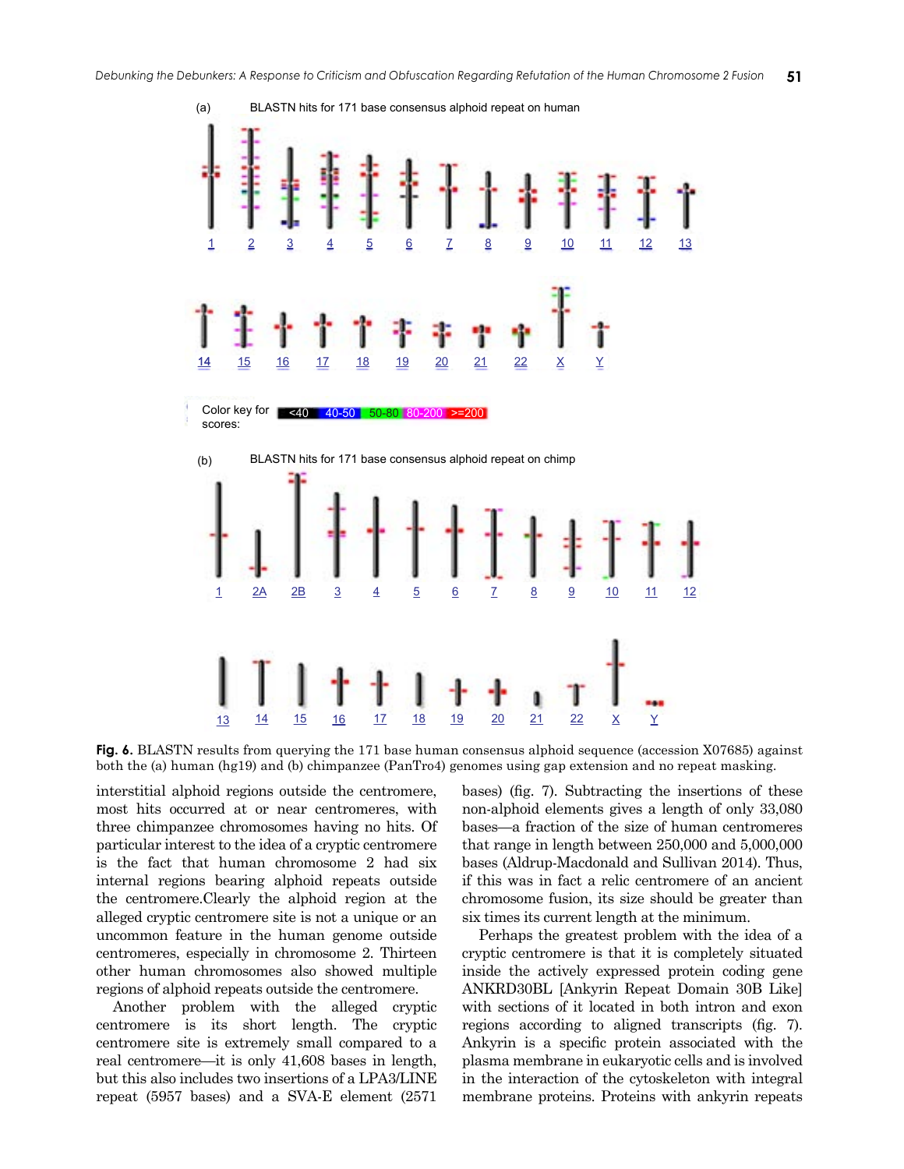

**Fig. 6.** BLASTN results from querying the 171 base human consensus alphoid sequence (accession X07685) against both the (a) human (hg19) and (b) chimpanzee (PanTro4) genomes using gap extension and no repeat masking.

interstitial alphoid regions outside the centromere, most hits occurred at or near centromeres, with three chimpanzee chromosomes having no hits. Of particular interest to the idea of a cryptic centromere is the fact that human chromosome 2 had six internal regions bearing alphoid repeats outside the centromere.Clearly the alphoid region at the alleged cryptic centromere site is not a unique or an uncommon feature in the human genome outside centromeres, especially in chromosome 2. Thirteen other human chromosomes also showed multiple regions of alphoid repeats outside the centromere.

Another problem with the alleged cryptic centromere is its short length. The cryptic centromere site is extremely small compared to a real centromere—it is only 41,608 bases in length, but this also includes two insertions of a LPA3/LINE repeat (5957 bases) and a SVA-E element (2571

bases) (fig. 7). Subtracting the insertions of these non-alphoid elements gives a length of only 33,080 bases—a fraction of the size of human centromeres that range in length between 250,000 and 5,000,000 bases (Aldrup-Macdonald and Sullivan 2014). Thus, if this was in fact a relic centromere of an ancient chromosome fusion, its size should be greater than six times its current length at the minimum.

Perhaps the greatest problem with the idea of a cryptic centromere is that it is completely situated inside the actively expressed protein coding gene ANKRD30BL [Ankyrin Repeat Domain 30B Like] with sections of it located in both intron and exon regions according to aligned transcripts (fig. 7). Ankyrin is a specific protein associated with the plasma membrane in eukaryotic cells and is involved in the interaction of the cytoskeleton with integral membrane proteins. Proteins with ankyrin repeats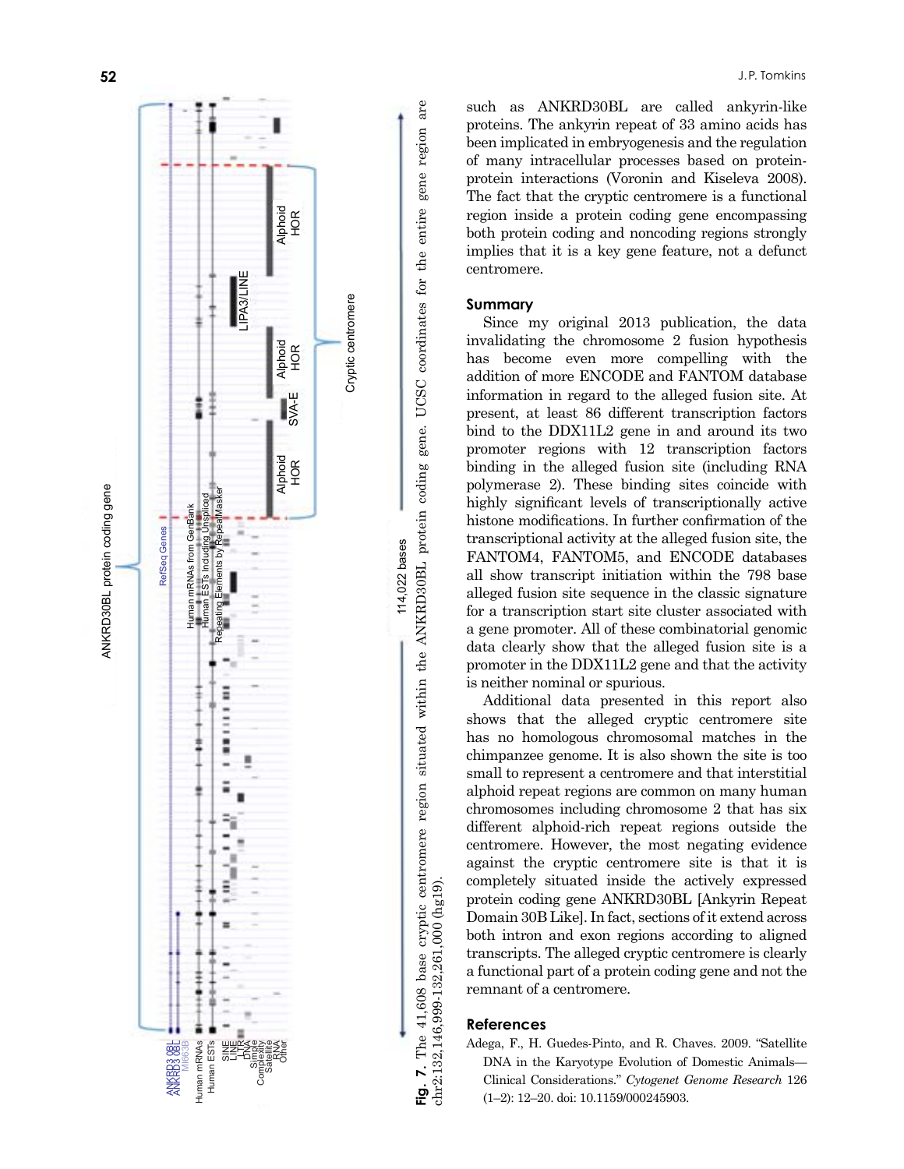

bind to the DDX11L2 gene in and around its two

promoter regions with 12 transcription factors binding in the alleged fusion site (including RNA polymerase 2). These binding sites coincide with highly significant levels of transcriptionally active histone modifications. In further confirmation of the transcriptional activity at the alleged fusion site, the FANTOM4, FANTOM5, and ENCODE databases all show transcript initiation within the 798 base alleged fusion site sequence in the classic signature for a transcription start site cluster associated with a gene promoter. All of these combinatorial genomic data clearly show that the alleged fusion site is a promoter in the DDX11L2 gene and that the activity is neither nominal or spurious.

such as ANKRD30BL are called ankyrin-like proteins. The ankyrin repeat of 33 amino acids has been implicated in embryogenesis and the regulation of many intracellular processes based on proteinprotein interactions (Voronin and Kiseleva 2008). The fact that the cryptic centromere is a functional region inside a protein coding gene encompassing both protein coding and noncoding regions strongly implies that it is a key gene feature, not a defunct

Since my original 2013 publication, the data invalidating the chromosome 2 fusion hypothesis has become even more compelling with the addition of more ENCODE and FANTOM database information in regard to the alleged fusion site. At present, at least 86 different transcription factors

Additional data presented in this report also shows that the alleged cryptic centromere site has no homologous chromosomal matches in the chimpanzee genome. It is also shown the site is too small to represent a centromere and that interstitial alphoid repeat regions are common on many human chromosomes including chromosome 2 that has six different alphoid-rich repeat regions outside the centromere. However, the most negating evidence against the cryptic centromere site is that it is completely situated inside the actively expressed protein coding gene ANKRD30BL [Ankyrin Repeat Domain 30B Like]. In fact, sections of it extend across both intron and exon regions according to aligned transcripts. The alleged cryptic centromere is clearly a functional part of a protein coding gene and not the remnant of a centromere.

# **References**

chr2:132,146,999-132,261,000 (hg19).

centromere.

**Summary**

**Fig. 7.** The 41,608 base cryptic centromere region situated within the ANKRD30BL protein coding gene. UCSC coordinates for the entire gene region are

gene.

region are

gene

entire

Adega, F., H. Guedes-Pinto, and R. Chaves. 2009. "Satellite DNA in the Karyotype Evolution of Domestic Animals— Clinical Considerations." *Cytogenet Genome Research* 126 (1–2): 12–20. doi: 10.1159/000245903.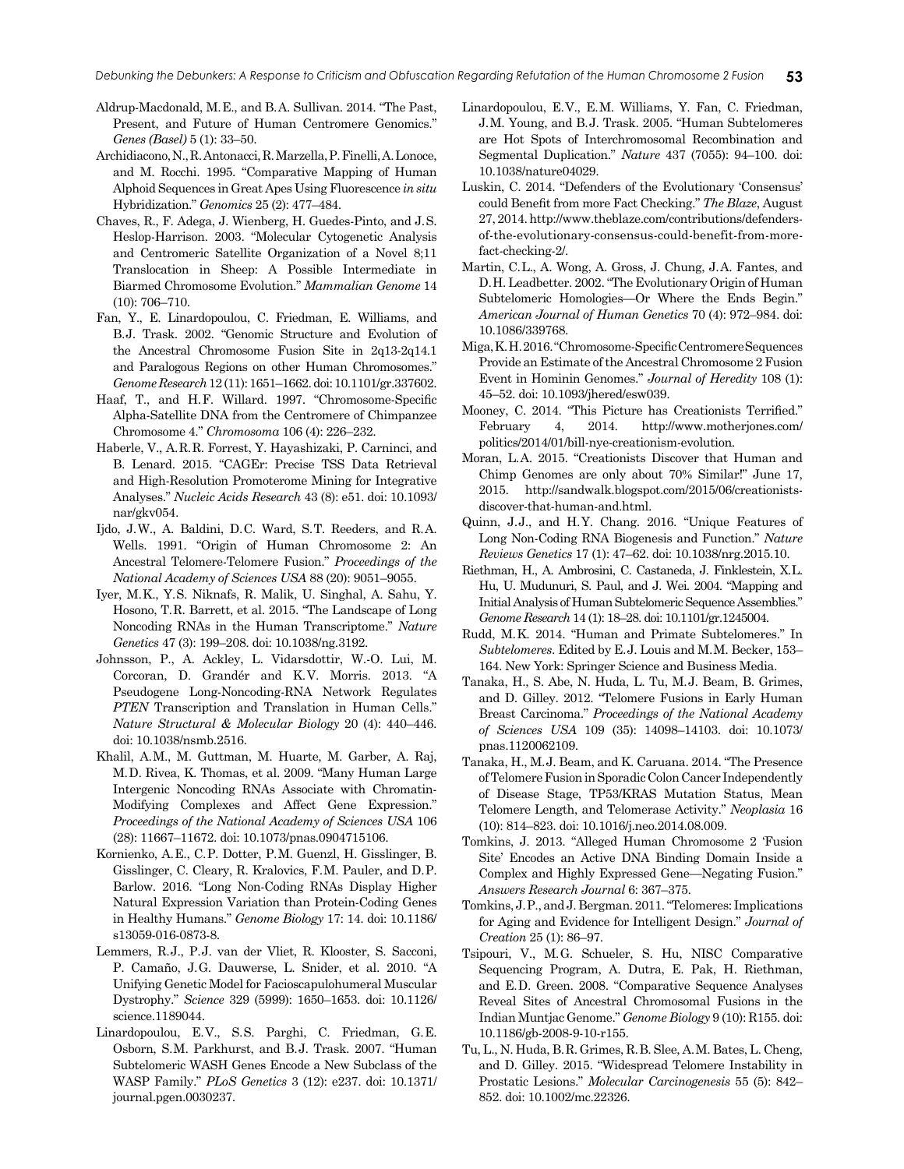- Aldrup-Macdonald, M.E., and B.A. Sullivan. 2014. "The Past, Present, and Future of Human Centromere Genomics." *Genes (Basel)* 5 (1): 33–50.
- Archidiacono, N., R. Antonacci, R. Marzella, P. Finelli, A. Lonoce, and M. Rocchi. 1995. "Comparative Mapping of Human Alphoid Sequences in Great Apes Using Fluorescence *in situ* Hybridization." *Genomics* 25 (2): 477–484.
- Chaves, R., F. Adega, J. Wienberg, H. Guedes-Pinto, and J.S. Heslop-Harrison. 2003. "Molecular Cytogenetic Analysis and Centromeric Satellite Organization of a Novel 8;11 Translocation in Sheep: A Possible Intermediate in Biarmed Chromosome Evolution." *Mammalian Genome* 14 (10): 706–710.
- Fan, Y., E. Linardopoulou, C. Friedman, E. Williams, and B.J. Trask. 2002. "Genomic Structure and Evolution of the Ancestral Chromosome Fusion Site in 2q13-2q14.1 and Paralogous Regions on other Human Chromosomes." *Genome Research* 12 (11): 1651–1662. doi: 10.1101/gr.337602.
- Haaf, T., and H.F. Willard. 1997. "Chromosome-Specific Alpha-Satellite DNA from the Centromere of Chimpanzee Chromosome 4." *Chromosoma* 106 (4): 226–232.
- Haberle, V., A.R.R. Forrest, Y. Hayashizaki, P. Carninci, and B. Lenard. 2015. "CAGEr: Precise TSS Data Retrieval and High-Resolution Promoterome Mining for Integrative Analyses." *Nucleic Acids Research* 43 (8): e51. doi: 10.1093/ nar/gkv054.
- Ijdo, J.W., A. Baldini, D.C. Ward, S.T. Reeders, and R.A. Wells. 1991. "Origin of Human Chromosome 2: An Ancestral Telomere-Telomere Fusion." *Proceedings of the National Academy of Sciences USA* 88 (20): 9051–9055.
- Iyer, M.K., Y.S. Niknafs, R. Malik, U. Singhal, A. Sahu, Y. Hosono, T.R. Barrett, et al. 2015. "The Landscape of Long Noncoding RNAs in the Human Transcriptome." *Nature Genetics* 47 (3): 199–208. doi: 10.1038/ng.3192.
- Johnsson, P., A. Ackley, L. Vidarsdottir, W.-O. Lui, M. Corcoran, D. Grandér and K.V. Morris. 2013. "A Pseudogene Long-Noncoding-RNA Network Regulates *PTEN* Transcription and Translation in Human Cells." *Nature Structural & Molecular Biology* 20 (4): 440–446. doi: 10.1038/nsmb.2516.
- Khalil, A.M., M. Guttman, M. Huarte, M. Garber, A. Raj, M.D. Rivea, K. Thomas, et al. 2009. "Many Human Large Intergenic Noncoding RNAs Associate with Chromatin-Modifying Complexes and Affect Gene Expression." *Proceedings of the National Academy of Sciences USA* 106 (28): 11667–11672. doi: 10.1073/pnas.0904715106.
- Kornienko, A.E., C.P. Dotter, P.M. Guenzl, H. Gisslinger, B. Gisslinger, C. Cleary, R. Kralovics, F.M. Pauler, and D.P. Barlow. 2016. "Long Non-Coding RNAs Display Higher Natural Expression Variation than Protein-Coding Genes in Healthy Humans." *Genome Biology* 17: 14. doi: 10.1186/ s13059-016-0873-8.
- Lemmers, R.J., P.J. van der Vliet, R. Klooster, S. Sacconi, P. Camaño, J.G. Dauwerse, L. Snider, et al. 2010. "A Unifying Genetic Model for Facioscapulohumeral Muscular Dystrophy." *Science* 329 (5999): 1650–1653. doi: 10.1126/ science.1189044.
- Linardopoulou, E.V., S.S. Parghi, C. Friedman, G.E. Osborn, S.M. Parkhurst, and B.J. Trask. 2007. "Human Subtelomeric WASH Genes Encode a New Subclass of the WASP Family." *PLoS Genetics* 3 (12): e237. doi: 10.1371/ journal.pgen.0030237.
- Linardopoulou, E.V., E.M. Williams, Y. Fan, C. Friedman, J.M. Young, and B.J. Trask. 2005. "Human Subtelomeres are Hot Spots of Interchromosomal Recombination and Segmental Duplication." *Nature* 437 (7055): 94–100. doi: 10.1038/nature04029.
- Luskin, C. 2014. "Defenders of the Evolutionary 'Consensus' could Benefit from more Fact Checking." *The Blaze*, August 27, 2014. [http://www.theblaze.com/contributions/defenders](http://www.theblaze.com/contributions/defenders-of-the-evolutionary-consensus-could-benefit-from-more-fact-checking-2/)[of-the-evolutionary-consensus-could-benefit-from-more](http://www.theblaze.com/contributions/defenders-of-the-evolutionary-consensus-could-benefit-from-more-fact-checking-2/)[fact-checking-2/](http://www.theblaze.com/contributions/defenders-of-the-evolutionary-consensus-could-benefit-from-more-fact-checking-2/).
- Martin, C.L., A. Wong, A. Gross, J. Chung, J.A. Fantes, and D.H. Leadbetter. 2002. "The Evolutionary Origin of Human Subtelomeric Homologies—Or Where the Ends Begin." *American Journal of Human Genetics* 70 (4): 972–984. doi: 10.1086/339768.
- Miga, K.H. 2016. "Chromosome-Specific Centromere Sequences Provide an Estimate of the Ancestral Chromosome 2 Fusion Event in Hominin Genomes." *Journal of Heredity* 108 (1): 45–52. doi: 10.1093/jhered/esw039.
- Mooney, C. 2014. "This Picture has Creationists Terrified." February 4, 2014. [http://www.motherjones.com/](http://www.motherjones.com/politics/2014/01/bill-nye-creationism-evolution) [politics/2014/01/bill-nye-creationism-evolution](http://www.motherjones.com/politics/2014/01/bill-nye-creationism-evolution).
- Moran, L.A. 2015. "Creationists Discover that Human and Chimp Genomes are only about 70% Similar!" June 17, 2015. [http://sandwalk.blogspot.com/2015/06/creationists](http://sandwalk.blogspot.com/2015/06/creationists-discover-that-human-and.html)[discover-that-human-and.html](http://sandwalk.blogspot.com/2015/06/creationists-discover-that-human-and.html).
- Quinn, J.J., and H.Y. Chang. 2016. "Unique Features of Long Non-Coding RNA Biogenesis and Function." *Nature Reviews Genetics* 17 (1): 47–62. doi: 10.1038/nrg.2015.10.
- Riethman, H., A. Ambrosini, C. Castaneda, J. Finklestein, X.L. Hu, U. Mudunuri, S. Paul, and J. Wei. 2004. "Mapping and Initial Analysis of Human Subtelomeric Sequence Assemblies." *Genome Research* 14 (1): 18–28. doi: 10.1101/gr.1245004.
- Rudd, M.K. 2014. "Human and Primate Subtelomeres." In *Subtelomeres*. Edited by E.J. Louis and M.M. Becker, 153– 164. New York: Springer Science and Business Media.
- Tanaka, H., S. Abe, N. Huda, L. Tu, M.J. Beam, B. Grimes, and D. Gilley. 2012. "Telomere Fusions in Early Human Breast Carcinoma." *Proceedings of the National Academy of Sciences USA* 109 (35): 14098–14103. doi: 10.1073/ pnas.1120062109.
- Tanaka, H., M.J. Beam, and K. Caruana. 2014. "The Presence of Telomere Fusion in Sporadic Colon Cancer Independently of Disease Stage, TP53/KRAS Mutation Status, Mean Telomere Length, and Telomerase Activity." *Neoplasia* 16 (10): 814–823. doi: 10.1016/j.neo.2014.08.009.
- Tomkins, J. 2013. "Alleged Human Chromosome 2 'Fusion Site' Encodes an Active DNA Binding Domain Inside a Complex and Highly Expressed Gene—Negating Fusion." *Answers Research Journal* 6: 367–375.
- Tomkins, J.P., and J. Bergman. 2011. "Telomeres: Implications for Aging and Evidence for Intelligent Design." *Journal of Creation* 25 (1): 86–97.
- Tsipouri, V., M.G. Schueler, S. Hu, NISC Comparative Sequencing Program, A. Dutra, E. Pak, H. Riethman, and E.D. Green. 2008. "Comparative Sequence Analyses Reveal Sites of Ancestral Chromosomal Fusions in the Indian Muntjac Genome." *Genome Biology* 9 (10): R155. doi: 10.1186/gb-2008-9-10-r155.
- Tu, L., N. Huda, B.R. Grimes, R.B. Slee, A.M. Bates, L. Cheng, and D. Gilley. 2015. "Widespread Telomere Instability in Prostatic Lesions." *Molecular Carcinogenesis* 55 (5): 842– 852. doi: 10.1002/mc.22326.